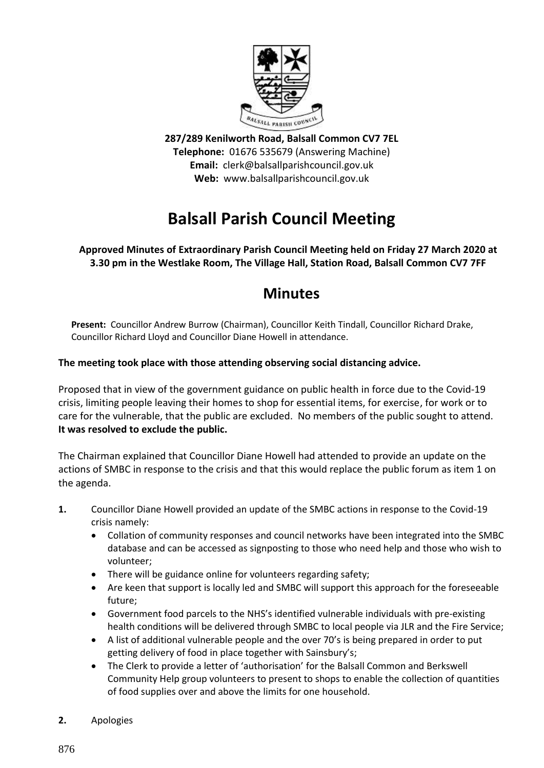

**287/289 Kenilworth Road, Balsall Common CV7 7EL Telephone:** 01676 535679 (Answering Machine) **Email:** clerk@balsallparishcouncil.gov.uk **Web:** www.balsallparishcouncil.gov.uk

## **Balsall Parish Council Meeting**

## **Approved Minutes of Extraordinary Parish Council Meeting held on Friday 27 March 2020 at 3.30 pm in the Westlake Room, The Village Hall, Station Road, Balsall Common CV7 7FF**

## **Minutes**

**Present:** Councillor Andrew Burrow (Chairman), Councillor Keith Tindall, Councillor Richard Drake, Councillor Richard Lloyd and Councillor Diane Howell in attendance.

## **The meeting took place with those attending observing social distancing advice.**

Proposed that in view of the government guidance on public health in force due to the Covid-19 crisis, limiting people leaving their homes to shop for essential items, for exercise, for work or to care for the vulnerable, that the public are excluded. No members of the public sought to attend. **It was resolved to exclude the public.**

The Chairman explained that Councillor Diane Howell had attended to provide an update on the actions of SMBC in response to the crisis and that this would replace the public forum as item 1 on the agenda.

- **1.** Councillor Diane Howell provided an update of the SMBC actions in response to the Covid-19 crisis namely:
	- Collation of community responses and council networks have been integrated into the SMBC database and can be accessed as signposting to those who need help and those who wish to volunteer;
	- There will be guidance online for volunteers regarding safety;
	- Are keen that support is locally led and SMBC will support this approach for the foreseeable future;
	- Government food parcels to the NHS's identified vulnerable individuals with pre-existing health conditions will be delivered through SMBC to local people via JLR and the Fire Service;
	- A list of additional vulnerable people and the over 70's is being prepared in order to put getting delivery of food in place together with Sainsbury's;
	- The Clerk to provide a letter of 'authorisation' for the Balsall Common and Berkswell Community Help group volunteers to present to shops to enable the collection of quantities of food supplies over and above the limits for one household.
- **2.** Apologies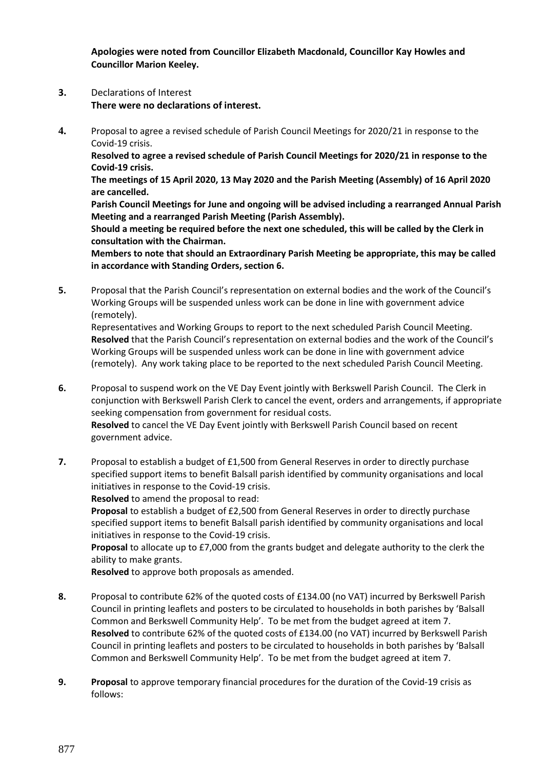**Apologies were noted from Councillor Elizabeth Macdonald, Councillor Kay Howles and Councillor Marion Keeley.**

- **3.** Declarations of Interest **There were no declarations of interest.**
- **4.** Proposal to agree a revised schedule of Parish Council Meetings for 2020/21 in response to the Covid-19 crisis.

**Resolved to agree a revised schedule of Parish Council Meetings for 2020/21 in response to the Covid-19 crisis.** 

**The meetings of 15 April 2020, 13 May 2020 and the Parish Meeting (Assembly) of 16 April 2020 are cancelled.**

**Parish Council Meetings for June and ongoing will be advised including a rearranged Annual Parish Meeting and a rearranged Parish Meeting (Parish Assembly).**

**Should a meeting be required before the next one scheduled, this will be called by the Clerk in consultation with the Chairman.**

**Members to note that should an Extraordinary Parish Meeting be appropriate, this may be called in accordance with Standing Orders, section 6.**

**5.** Proposal that the Parish Council's representation on external bodies and the work of the Council's Working Groups will be suspended unless work can be done in line with government advice (remotely).

Representatives and Working Groups to report to the next scheduled Parish Council Meeting. **Resolved** that the Parish Council's representation on external bodies and the work of the Council's Working Groups will be suspended unless work can be done in line with government advice (remotely). Any work taking place to be reported to the next scheduled Parish Council Meeting.

- **6.** Proposal to suspend work on the VE Day Event jointly with Berkswell Parish Council. The Clerk in conjunction with Berkswell Parish Clerk to cancel the event, orders and arrangements, if appropriate seeking compensation from government for residual costs. **Resolved** to cancel the VE Day Event jointly with Berkswell Parish Council based on recent government advice.
- **7.** Proposal to establish a budget of £1,500 from General Reserves in order to directly purchase specified support items to benefit Balsall parish identified by community organisations and local initiatives in response to the Covid-19 crisis.

**Resolved** to amend the proposal to read:

**Proposal** to establish a budget of £2,500 from General Reserves in order to directly purchase specified support items to benefit Balsall parish identified by community organisations and local initiatives in response to the Covid-19 crisis.

**Proposal** to allocate up to £7,000 from the grants budget and delegate authority to the clerk the ability to make grants.

**Resolved** to approve both proposals as amended.

- **8.** Proposal to contribute 62% of the quoted costs of £134.00 (no VAT) incurred by Berkswell Parish Council in printing leaflets and posters to be circulated to households in both parishes by 'Balsall Common and Berkswell Community Help'. To be met from the budget agreed at item 7. **Resolved** to contribute 62% of the quoted costs of £134.00 (no VAT) incurred by Berkswell Parish Council in printing leaflets and posters to be circulated to households in both parishes by 'Balsall Common and Berkswell Community Help'. To be met from the budget agreed at item 7.
- **9. Proposal** to approve temporary financial procedures for the duration of the Covid-19 crisis as follows: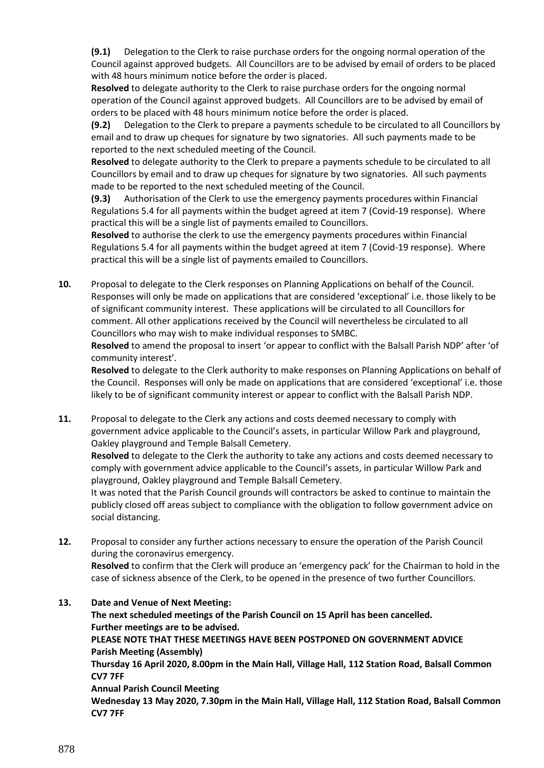**(9.1)** Delegation to the Clerk to raise purchase orders for the ongoing normal operation of the Council against approved budgets. All Councillors are to be advised by email of orders to be placed with 48 hours minimum notice before the order is placed.

**Resolved** to delegate authority to the Clerk to raise purchase orders for the ongoing normal operation of the Council against approved budgets. All Councillors are to be advised by email of orders to be placed with 48 hours minimum notice before the order is placed.

**(9.2)** Delegation to the Clerk to prepare a payments schedule to be circulated to all Councillors by email and to draw up cheques for signature by two signatories. All such payments made to be reported to the next scheduled meeting of the Council.

**Resolved** to delegate authority to the Clerk to prepare a payments schedule to be circulated to all Councillors by email and to draw up cheques for signature by two signatories. All such payments made to be reported to the next scheduled meeting of the Council.

**(9.3)** Authorisation of the Clerk to use the emergency payments procedures within Financial Regulations 5.4 for all payments within the budget agreed at item 7 (Covid-19 response). Where practical this will be a single list of payments emailed to Councillors.

**Resolved** to authorise the clerk to use the emergency payments procedures within Financial Regulations 5.4 for all payments within the budget agreed at item 7 (Covid-19 response). Where practical this will be a single list of payments emailed to Councillors.

**10.** Proposal to delegate to the Clerk responses on Planning Applications on behalf of the Council. Responses will only be made on applications that are considered 'exceptional' i.e. those likely to be of significant community interest. These applications will be circulated to all Councillors for comment. All other applications received by the Council will nevertheless be circulated to all Councillors who may wish to make individual responses to SMBC.

**Resolved** to amend the proposal to insert 'or appear to conflict with the Balsall Parish NDP' after 'of community interest'.

**Resolved** to delegate to the Clerk authority to make responses on Planning Applications on behalf of the Council. Responses will only be made on applications that are considered 'exceptional' i.e. those likely to be of significant community interest or appear to conflict with the Balsall Parish NDP.

**11.** Proposal to delegate to the Clerk any actions and costs deemed necessary to comply with government advice applicable to the Council's assets, in particular Willow Park and playground, Oakley playground and Temple Balsall Cemetery.

**Resolved** to delegate to the Clerk the authority to take any actions and costs deemed necessary to comply with government advice applicable to the Council's assets, in particular Willow Park and playground, Oakley playground and Temple Balsall Cemetery.

It was noted that the Parish Council grounds will contractors be asked to continue to maintain the publicly closed off areas subject to compliance with the obligation to follow government advice on social distancing.

- **12.** Proposal to consider any further actions necessary to ensure the operation of the Parish Council during the coronavirus emergency. **Resolved** to confirm that the Clerk will produce an 'emergency pack' for the Chairman to hold in the case of sickness absence of the Clerk, to be opened in the presence of two further Councillors.
- **13. Date and Venue of Next Meeting: The next scheduled meetings of the Parish Council on 15 April has been cancelled. Further meetings are to be advised. PLEASE NOTE THAT THESE MEETINGS HAVE BEEN POSTPONED ON GOVERNMENT ADVICE Parish Meeting (Assembly) Thursday 16 April 2020, 8.00pm in the Main Hall, Village Hall, 112 Station Road, Balsall Common CV7 7FF Annual Parish Council Meeting Wednesday 13 May 2020, 7.30pm in the Main Hall, Village Hall, 112 Station Road, Balsall Common CV7 7FF**